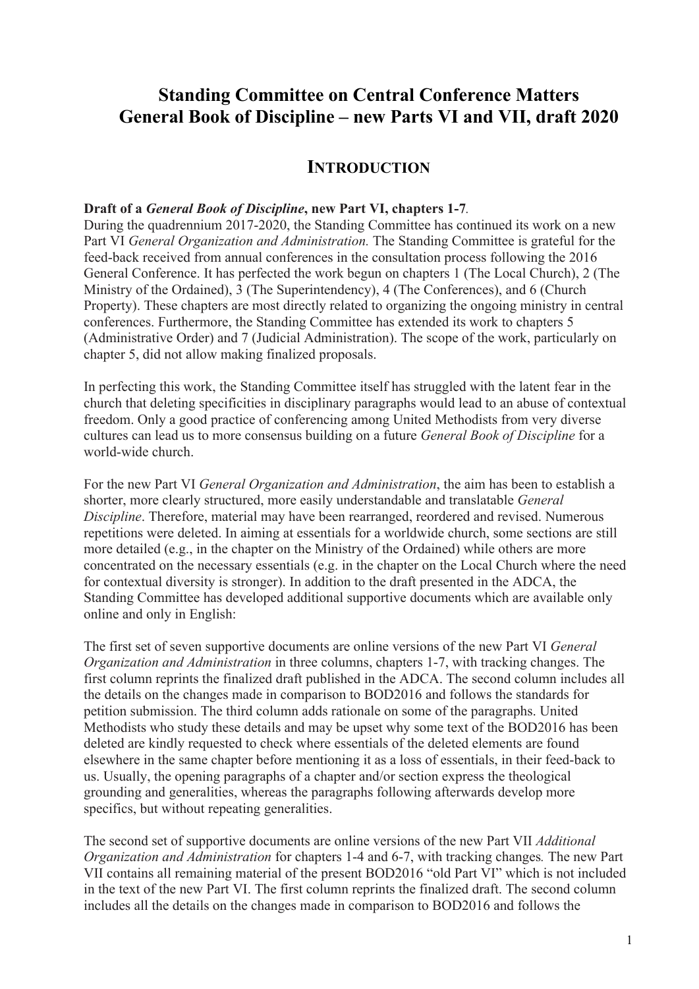# **Standing Committee on Central Conference Matters General Book of Discipline – new Parts VI and VII, draft 2020**

## **INTRODUCTION**

#### **Draft of a** *General Book of Discipline***, new Part VI, chapters 1-7***.*

During the quadrennium 2017-2020, the Standing Committee has continued its work on a new Part VI *General Organization and Administration.* The Standing Committee is grateful for the feed-back received from annual conferences in the consultation process following the 2016 General Conference. It has perfected the work begun on chapters 1 (The Local Church), 2 (The Ministry of the Ordained), 3 (The Superintendency), 4 (The Conferences), and 6 (Church Property). These chapters are most directly related to organizing the ongoing ministry in central conferences. Furthermore, the Standing Committee has extended its work to chapters 5 (Administrative Order) and 7 (Judicial Administration). The scope of the work, particularly on chapter 5, did not allow making finalized proposals.

In perfecting this work, the Standing Committee itself has struggled with the latent fear in the church that deleting specificities in disciplinary paragraphs would lead to an abuse of contextual freedom. Only a good practice of conferencing among United Methodists from very diverse cultures can lead us to more consensus building on a future *General Book of Discipline* for a world-wide church.

For the new Part VI *General Organization and Administration*, the aim has been to establish a shorter, more clearly structured, more easily understandable and translatable *General Discipline*. Therefore, material may have been rearranged, reordered and revised. Numerous repetitions were deleted. In aiming at essentials for a worldwide church, some sections are still more detailed (e.g., in the chapter on the Ministry of the Ordained) while others are more concentrated on the necessary essentials (e.g. in the chapter on the Local Church where the need for contextual diversity is stronger). In addition to the draft presented in the ADCA, the Standing Committee has developed additional supportive documents which are available only online and only in English:

The first set of seven supportive documents are online versions of the new Part VI *General Organization and Administration* in three columns, chapters 1-7, with tracking changes. The first column reprints the finalized draft published in the ADCA. The second column includes all the details on the changes made in comparison to BOD2016 and follows the standards for petition submission. The third column adds rationale on some of the paragraphs. United Methodists who study these details and may be upset why some text of the BOD2016 has been deleted are kindly requested to check where essentials of the deleted elements are found elsewhere in the same chapter before mentioning it as a loss of essentials, in their feed-back to us. Usually, the opening paragraphs of a chapter and/or section express the theological grounding and generalities, whereas the paragraphs following afterwards develop more specifics, but without repeating generalities.

The second set of supportive documents are online versions of the new Part VII *Additional Organization and Administration* for chapters 1-4 and 6-7, with tracking changes*.* The new Part VII contains all remaining material of the present BOD2016 "old Part VI" which is not included in the text of the new Part VI. The first column reprints the finalized draft. The second column includes all the details on the changes made in comparison to BOD2016 and follows the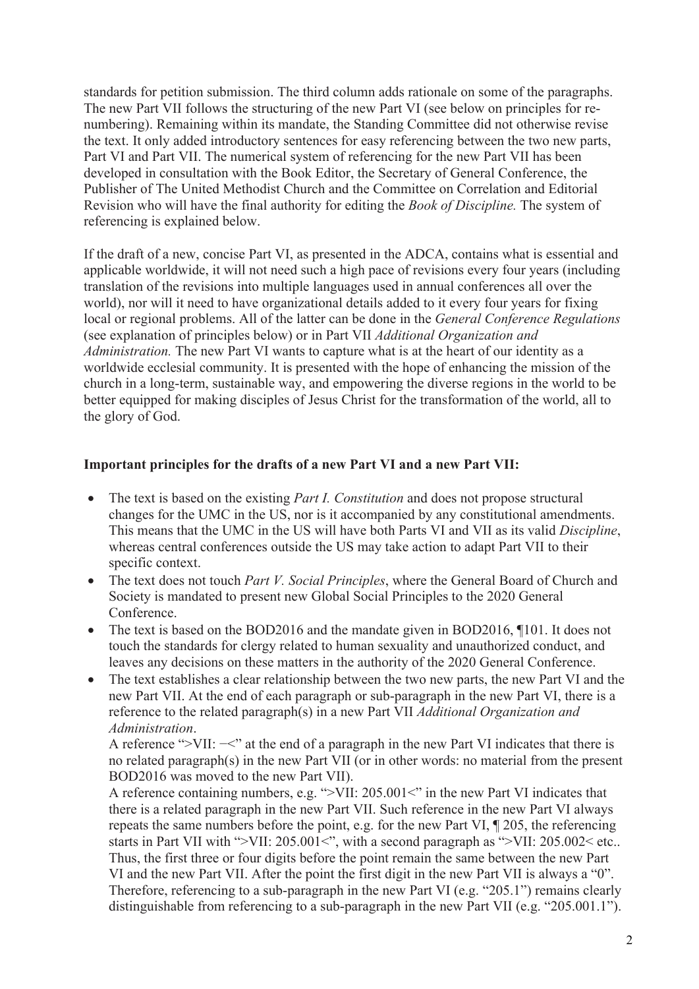standards for petition submission. The third column adds rationale on some of the paragraphs. The new Part VII follows the structuring of the new Part VI (see below on principles for renumbering). Remaining within its mandate, the Standing Committee did not otherwise revise the text. It only added introductory sentences for easy referencing between the two new parts, Part VI and Part VII. The numerical system of referencing for the new Part VII has been developed in consultation with the Book Editor, the Secretary of General Conference, the Publisher of The United Methodist Church and the Committee on Correlation and Editorial Revision who will have the final authority for editing the *Book of Discipline.* The system of referencing is explained below.

If the draft of a new, concise Part VI, as presented in the ADCA, contains what is essential and applicable worldwide, it will not need such a high pace of revisions every four years (including translation of the revisions into multiple languages used in annual conferences all over the world), nor will it need to have organizational details added to it every four years for fixing local or regional problems. All of the latter can be done in the *General Conference Regulations*  (see explanation of principles below) or in Part VII *Additional Organization and Administration.* The new Part VI wants to capture what is at the heart of our identity as a worldwide ecclesial community. It is presented with the hope of enhancing the mission of the church in a long-term, sustainable way, and empowering the diverse regions in the world to be better equipped for making disciples of Jesus Christ for the transformation of the world, all to the glory of God.

#### **Important principles for the drafts of a new Part VI and a new Part VII:**

- The text is based on the existing *Part I. Constitution* and does not propose structural changes for the UMC in the US, nor is it accompanied by any constitutional amendments. This means that the UMC in the US will have both Parts VI and VII as its valid *Discipline*, whereas central conferences outside the US may take action to adapt Part VII to their specific context.
- The text does not touch *Part V. Social Principles*, where the General Board of Church and Society is mandated to present new Global Social Principles to the 2020 General Conference.
- The text is based on the BOD2016 and the mandate given in BOD2016, 1101. It does not touch the standards for clergy related to human sexuality and unauthorized conduct, and leaves any decisions on these matters in the authority of the 2020 General Conference.
- The text establishes a clear relationship between the two new parts, the new Part VI and the new Part VII. At the end of each paragraph or sub-paragraph in the new Part VI, there is a reference to the related paragraph(s) in a new Part VII *Additional Organization and Administration*.

A reference ">VII: −<" at the end of a paragraph in the new Part VI indicates that there is no related paragraph(s) in the new Part VII (or in other words: no material from the present BOD2016 was moved to the new Part VII).

A reference containing numbers, e.g. ">VII: 205.001<" in the new Part VI indicates that there is a related paragraph in the new Part VII. Such reference in the new Part VI always repeats the same numbers before the point, e.g. for the new Part VI, ¶ 205, the referencing starts in Part VII with ">VII: 205.001<", with a second paragraph as ">VII: 205.002< etc.. Thus, the first three or four digits before the point remain the same between the new Part VI and the new Part VII. After the point the first digit in the new Part VII is always a "0". Therefore, referencing to a sub-paragraph in the new Part VI (e.g. "205.1") remains clearly distinguishable from referencing to a sub-paragraph in the new Part VII (e.g. "205.001.1").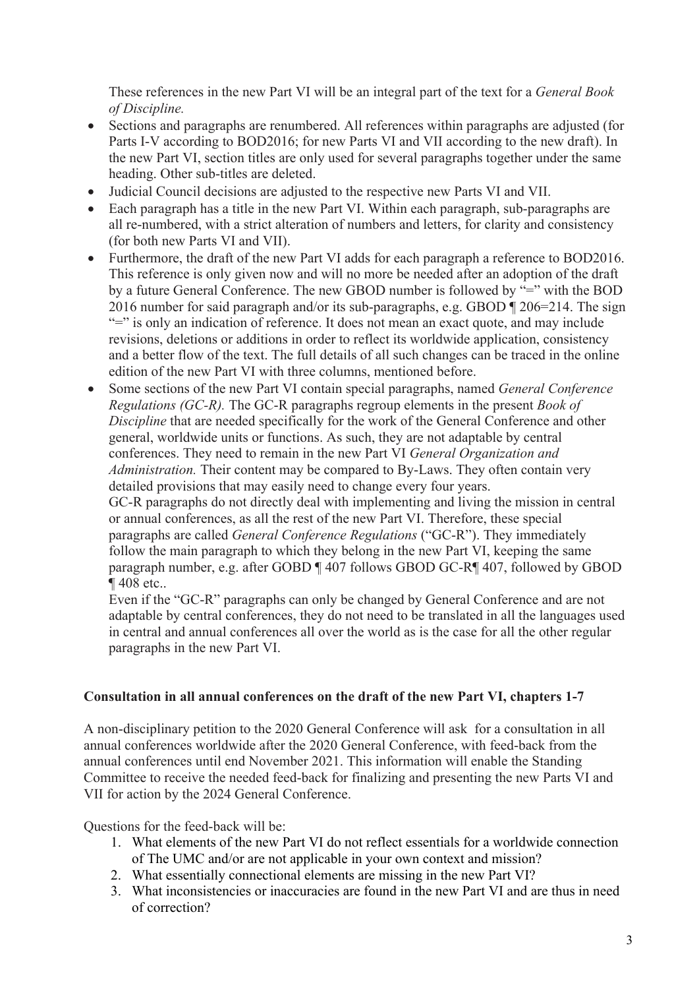These references in the new Part VI will be an integral part of the text for a *General Book of Discipline.*

- Sections and paragraphs are renumbered. All references within paragraphs are adjusted (for Parts I-V according to BOD2016; for new Parts VI and VII according to the new draft). In the new Part VI, section titles are only used for several paragraphs together under the same heading. Other sub-titles are deleted.
- Judicial Council decisions are adjusted to the respective new Parts VI and VII.
- Each paragraph has a title in the new Part VI. Within each paragraph, sub-paragraphs are all re-numbered, with a strict alteration of numbers and letters, for clarity and consistency (for both new Parts VI and VII).
- Furthermore, the draft of the new Part VI adds for each paragraph a reference to BOD2016. This reference is only given now and will no more be needed after an adoption of the draft by a future General Conference. The new GBOD number is followed by "=" with the BOD 2016 number for said paragraph and/or its sub-paragraphs, e.g. GBOD ¶ 206=214. The sign "=" is only an indication of reference. It does not mean an exact quote, and may include revisions, deletions or additions in order to reflect its worldwide application, consistency and a better flow of the text. The full details of all such changes can be traced in the online edition of the new Part VI with three columns, mentioned before.
- Some sections of the new Part VI contain special paragraphs, named *General Conference Regulations (GC-R).* The GC-R paragraphs regroup elements in the present *Book of Discipline* that are needed specifically for the work of the General Conference and other general, worldwide units or functions. As such, they are not adaptable by central conferences. They need to remain in the new Part VI *General Organization and Administration.* Their content may be compared to By-Laws. They often contain very detailed provisions that may easily need to change every four years. GC-R paragraphs do not directly deal with implementing and living the mission in central or annual conferences, as all the rest of the new Part VI. Therefore, these special paragraphs are called *General Conference Regulations* ("GC-R"). They immediately

follow the main paragraph to which they belong in the new Part VI, keeping the same paragraph number, e.g. after GOBD ¶ 407 follows GBOD GC-R¶ 407, followed by GBOD ¶ 408 etc..

Even if the "GC-R" paragraphs can only be changed by General Conference and are not adaptable by central conferences, they do not need to be translated in all the languages used in central and annual conferences all over the world as is the case for all the other regular paragraphs in the new Part VI.

### **Consultation in all annual conferences on the draft of the new Part VI, chapters 1-7**

A non-disciplinary petition to the 2020 General Conference will ask for a consultation in all annual conferences worldwide after the 2020 General Conference, with feed-back from the annual conferences until end November 2021. This information will enable the Standing Committee to receive the needed feed-back for finalizing and presenting the new Parts VI and VII for action by the 2024 General Conference.

Questions for the feed-back will be:

- 1. What elements of the new Part VI do not reflect essentials for a worldwide connection of The UMC and/or are not applicable in your own context and mission?
- 2. What essentially connectional elements are missing in the new Part VI?
- 3. What inconsistencies or inaccuracies are found in the new Part VI and are thus in need of correction?